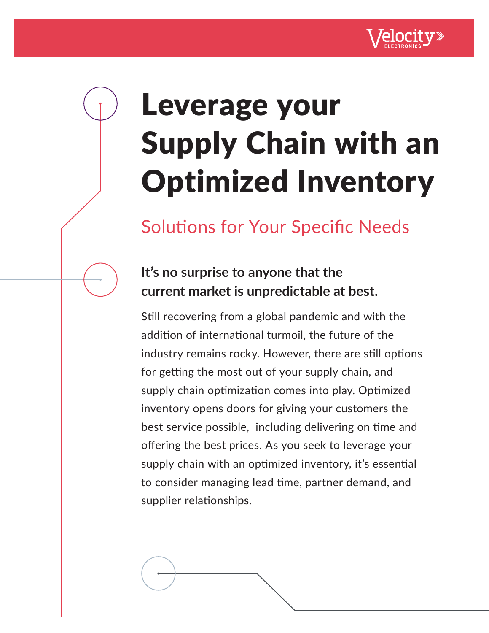

## Leverage your Supply Chain with an Optimized Inventory

### Solutions for Your Specific Needs

### **It's no surprise to anyone that the current market is unpredictable at best.**

Still recovering from a global pandemic and with the addition of international turmoil, the future of the industry remains rocky. However, there are still options for getting the most out of your supply chain, and supply chain optimization comes into play. Optimized inventory opens doors for giving your customers the best service possible, including delivering on time and offering the best prices. As you seek to leverage your supply chain with an optimized inventory, it's essential to consider managing lead time, partner demand, and supplier relationships.